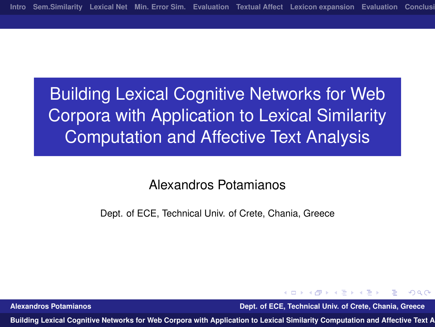# Building Lexical Cognitive Networks for Web Corpora with Application to Lexical Similarity Computation and Affective Text Analysis

#### Alexandros Potamianos

Dept. of ECE, Technical Univ. of Crete, Chania, Greece

**Alexandros Potamianos Dept. of ECE, Technical Univ. of Crete, Chania, Greece**

医单位 医单位

<span id="page-0-0"></span> $\Omega$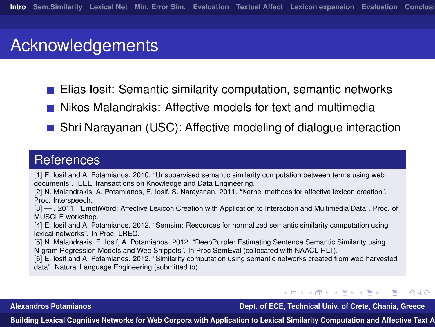#### **Acknowledgements**

- Elias Iosif: Semantic similarity computation, semantic networks
- Nikos Malandrakis: Affective models for text and multimedia
- **Shri Narayanan (USC): Affective modeling of dialogue interaction**

#### **References**

[1] E. Iosif and A. Potamianos. 2010. "Unsupervised semantic similarity computation between terms using web documents". IEEE Transactions on Knowledge and Data Engineering.

[2] N. Malandrakis, A. Potamianos, E. Iosif, S. Narayanan. 2011. "Kernel methods for affective lexicon creation". Proc. Interspeech.

[3] — . 2011. "EmotiWord: Affective Lexicon Creation with Application to Interaction and Multimedia Data". Proc. of MUSCLE workshop.

[4] E. Iosif and A. Potamianos. 2012. "Semsim: Resources for normalized semantic similarity computation using lexical networks". In Proc. LREC.

[5] N. Malandrakis, E. Iosif, A. Potamianos. 2012. "DeepPurple: Estimating Sentence Semantic Similarity using N-gram Regression Models and Web Snippets". In Proc SemEval (collocated with NAACL-HLT).

[6] E. Iosif and A. Potamianos. 2012. "Similarity computation using semantic networks created from web-harvested data". Natural Language Engineering (submitted to).

←ロト ←何ト ←ヨト ←ヨト **Alexandros Potamianos Dept. of ECE, Technical Univ. of Crete, Chania, Greece**

<span id="page-1-0"></span> $\Omega$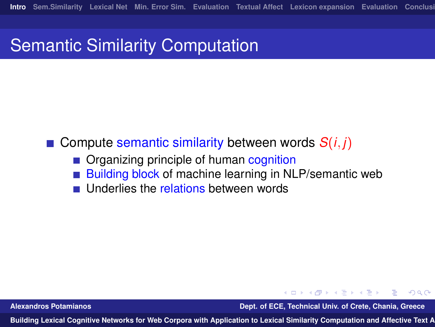## Semantic Similarity Computation

- Compute semantic similarity between words  $S(i, i)$ 
	- Organizing principle of human cognition
	- Building block of machine learning in NLP/semantic web
	- Underlies the relations between words

**Alexandros Potamianos Dept. of ECE, Technical Univ. of Crete, Chania, Greece**

∢何 ▶ ∢ ヨ ▶ ∢ ヨ ▶

 $\Omega$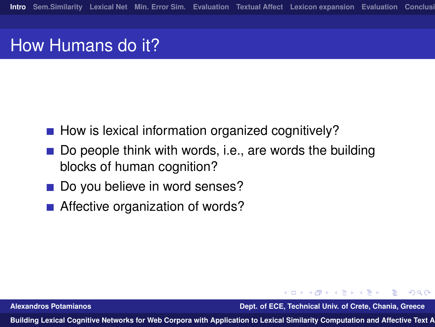## How Humans do it?

- $\blacksquare$  How is lexical information organized cognitively?
- Do people think with words, i.e., are words the building blocks of human cognition?
- Do you believe in word senses?
- Affective organization of words?

**Alexandros Potamianos Dept. of ECE, Technical Univ. of Crete, Chania, Greece**

医单位 医单位

 $\Omega$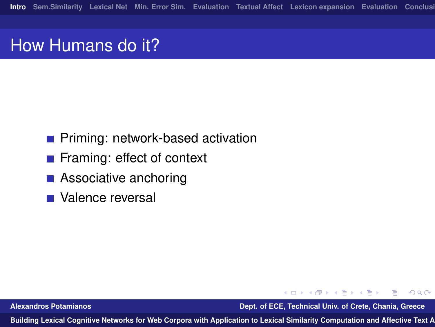## How Humans do it?

- **Priming: network-based activation**
- Framing: effect of context
- Associative anchoring
- Valence reversal

**Alexandros Potamianos Dept. of ECE, Technical Univ. of Crete, Chania, Greece**

 $\mathcal{A} \cap \mathbb{P} \rightarrow \mathcal{A} \supseteq \mathcal{A} \rightarrow \mathcal{A} \supseteq \mathcal{A}$ 

 $ORO$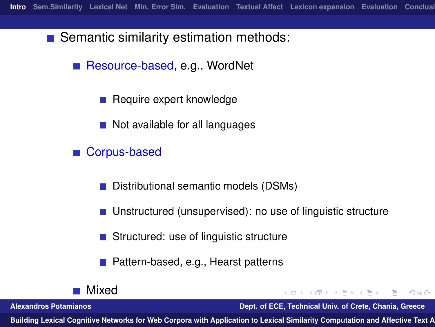■ Semantic similarity estimation methods:

Resource-based, e.g., WordNet

Require expert knowledge

Not available for all languages

Corpus-based

Distributional semantic models (DSMs) **I** 

■ Unstructured (unsupervised): no use of linguistic structure

■ Structured: use of linguistic structure

Pattern-based, e.g., Hearst patterns

Mixed

K ロ ▶ K 何 ▶ K ヨ ▶ K ヨ ▶ ... **Alexandros Potamianos Dept. of ECE, Technical Univ. of Crete, Chania, Greece**

 $\equiv$   $\Omega$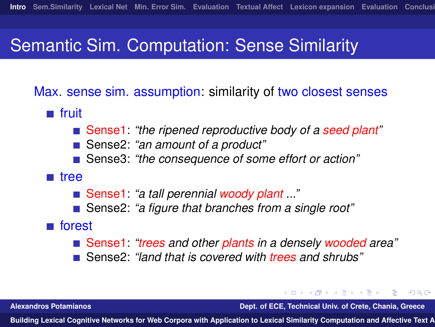## Semantic Sim. Computation: Sense Similarity

Max. sense sim. assumption: similarity of two closest senses

- **n** fruit
	- Sense1: *"the ripened reproductive body of a seed plant"*
	- Sense2: *"an amount of a product"*
	- Sense3: *"the consequence of some effort or action"*
- tree
	- Sense1: *"a tall perennial woody plant ..."*
	- Sense2: *"a figure that branches from a single root"*

#### **forest**

- Sense1: *"trees and other plants in a densely wooded area"*
- Sense2: *"land that is covered with trees and shrubs"*

**Alexandros Potamianos Dept. of ECE, Technical Univ. of Crete, Chania, Greece**

 $\mathcal{A} \cap \mathbb{P} \rightarrow \mathcal{A} \supseteq \mathcal{A} \rightarrow \mathcal{A} \supseteq \mathcal{A}$ 

 $\Omega$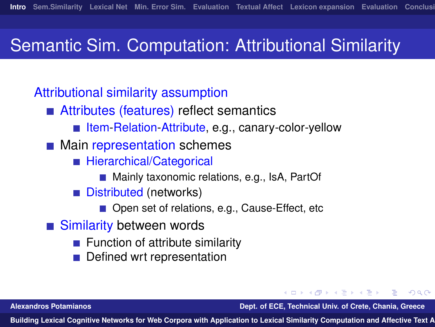## Semantic Sim. Computation: Attributional Similarity

#### Attributional similarity assumption

- Attributes (features) reflect semantics
	- Item-Relation-Attribute, e.g., canary-color-yellow
- **Main representation schemes** 
	- **Hierarchical/Categorical** 
		- Mainly taxonomic relations, e.g., IsA, PartOf
	- Distributed (networks)  $\mathcal{L}_{\mathcal{A}}$ 
		- Open set of relations, e.g., Cause-Effect, etc
- Similarity between words
	- Function of attribute similarity
	- Defined wrt representation

**Alexandros Potamianos Dept. of ECE, Technical Univ. of Crete, Chania, Greece**

医单位 医单位

<span id="page-7-0"></span> $\Omega$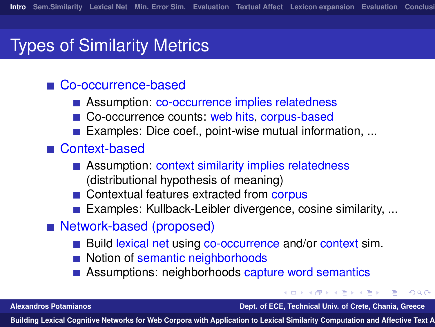#### Types of Similarity Metrics

#### Co-occurrence-based

- Assumption: co-occurrence implies relatedness
- Co-occurrence counts: web hits, corpus-based
- **Examples: Dice coef., point-wise mutual information, ...**

#### ■ Context-based

- Assumption: context similarity implies relatedness (distributional hypothesis of meaning)
- Contextual features extracted from corpus
- Examples: Kullback-Leibler divergence, cosine similarity, ...
- Network-based (proposed)
	- Build lexical net using co-occurrence and/or context sim.
	- Notion of semantic neighborhoods
	- Assumptions: neighborhoods capture word semantics

**Alexandros Potamianos Dept. of ECE, Technical Univ. of Crete, Chania, Greece**

 $\Omega$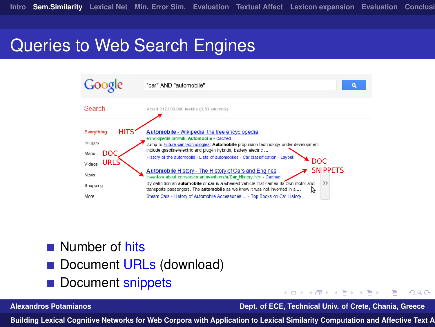# Queries to Web Search Engines



- **Number of hits**
- Document URLs (download)
- Document snippets

**Alexandros Potamianos Dept. of ECE, Technical Univ. of Crete, Chania, Greece**

4 . EL 19

<span id="page-9-0"></span> $\Omega$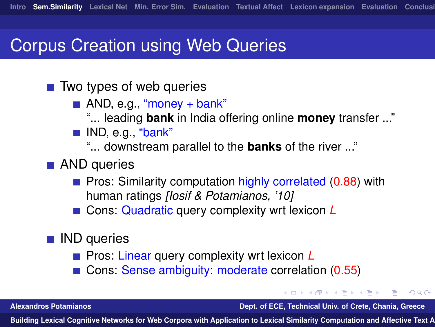### Corpus Creation using Web Queries

- $\blacksquare$  Two types of web queries
	- $\blacksquare$  AND, e.g., "money + bank"
		- "... leading **bank** in India offering online **money** transfer ..."
	- **IND, e.g., "bank"**

"... downstream parallel to the **banks** of the river ..."

- **AND** queries
	- **Pros: Similarity computation highly correlated (0.88) with** human ratings *[Iosif & Potamianos, '10]*
	- Cons: Quadratic query complexity wrt lexicon **L**
- IND queries
	- **Pros: Linear query complexity wrt lexicon L**
	- Cons: Sense ambiguity: moderate correlation (0.55)

**Alexandros Potamianos Dept. of ECE, Technical Univ. of Crete, Chania, Greece**

 $\langle \overline{m} \rangle$   $\rightarrow$   $\langle \overline{x} \rangle$   $\rightarrow$   $\langle \overline{x} \rangle$ 

<span id="page-10-0"></span> $\Omega$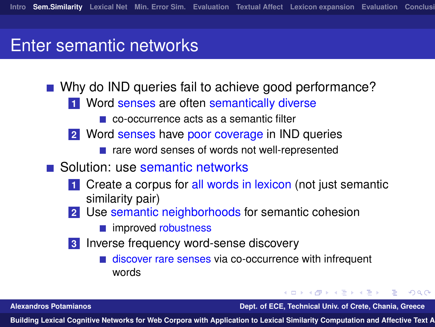#### Enter semantic networks

- Why do IND queries fail to achieve good performance?
	- **1** Word senses are often semantically diverse
		- co-occurrence acts as a semantic filter
	- **2** Word senses have poor coverage in IND queries
		- rare word senses of words not well-represented
- Solution: use semantic networks
	- **1** Create a corpus for all words in lexicon (not just semantic similarity pair)
	- **2** Use semantic neighborhoods for semantic cohesion
		- **n** improved robustness
	- **3** Inverse frequency word-sense discovery
		- discover rare senses via co-occurrence with infrequent words

**Alexandros Potamianos Dept. of ECE, Technical Univ. of Crete, Chania, Greece**

∢何 ▶ ∢ ヨ ▶ ∢ ヨ ▶

 $\Omega$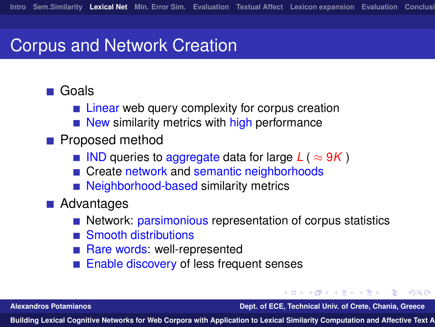### Corpus and Network Creation

#### **■ Goals**

- **Example 1** Linear web query complexity for corpus creation
- $\blacksquare$  New similarity metrics with high performance
- **Proposed method** 
	- IND queries to aggregate data for large  $L$  ( $\approx$  9K)
	- Create network and semantic neighborhoods
	- Neighborhood-based similarity metrics
- **Advantages** 
	- Network: parsimonious representation of corpus statistics
	- Smooth distributions
	- Rare words: well-represented
	- Enable discovery of less frequent senses

**Alexandros Potamianos Dept. of ECE, Technical Univ. of Crete, Chania, Greece**

何 ▶ イヨ ▶ イヨ ▶

 $\Omega$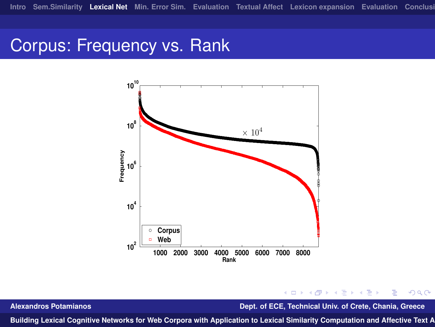## Corpus: Frequency vs. Rank



**Alexandros Potamianos Dept. of ECE, Technical Univ. of Crete, Chania, Greece**

∋ »

4日)

 $QQ$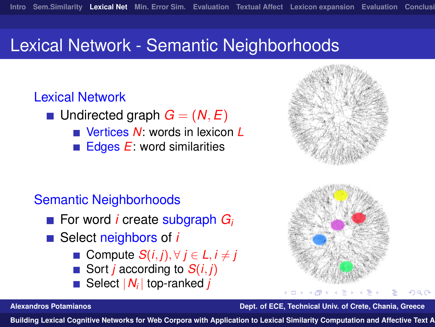### Lexical Network - Semantic Neighborhoods

#### Lexical Network

- **u** Undirected graph  $G = (N, E)$ 
	- Vertices *N*: words in lexicon *L*
	- Edges *E*: word similarities  $\mathcal{L}_{\mathcal{A}}$

#### Semantic Neighborhoods

- For word *i* create subgraph *G*<sub>*i*</sub>
- Select neighbors of *i* 
	- Compute  $S(i, j)$ ,  $\forall j \in L, i \neq j$
	- Sort *j* according to *S*(*i*, *j*)
	- Select |*N<sup>i</sup>* | top-ranked *j*





റെ ര

#### **Alexandros Potamianos Dept. of ECE, Technical Univ. of Crete, Chania, Greece**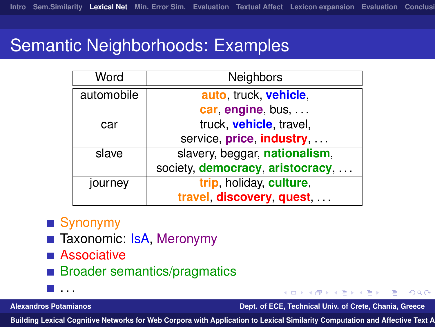## Semantic Neighborhoods: Examples

| Word       | Neighbors                        |
|------------|----------------------------------|
| automobile | auto, truck, vehicle,            |
|            | car, engine, bus,                |
| car        | truck, <b>vehicle</b> , travel,  |
|            | service, price, industry,        |
| slave      | slavery, beggar, nationalism,    |
|            | society, democracy, aristocracy, |
| journey    | trip, holiday, culture,          |
|            | travel discovery quest           |

#### ■ Synonymy

- Taxonomic: IsA, Meronymy
- **Associative**
- **Broader semantics/pragmatics**
- . . .

**Alexandros Potamianos Dept. of ECE, Technical Univ. of Crete, Chania, Greece**

化重 网络重

<span id="page-15-0"></span> $\Omega$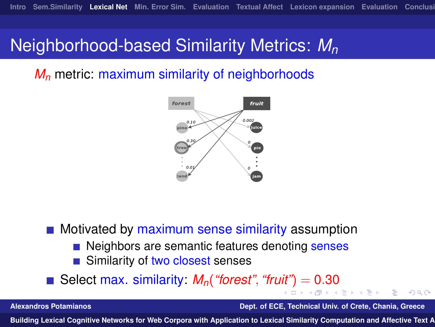### Neighborhood-based Similarity Metrics: *M<sup>n</sup>*

*M<sup>n</sup>* metric: maximum similarity of neighborhoods



**Motivated by maximum sense similarity assumption** 

- Neighbors are semantic features denoting senses
- Similarity of two closest senses

Select max. similarity:  $M_n$  ("forest", "fr[uit"](#page-15-0)) [=](#page-17-0)  $0.30$  $0.30$  $0.30$  $0.30$ 

**Alexandros Potamianos Dept. of ECE, Technical Univ. of Crete, Chania, Greece**

<span id="page-16-0"></span> $\Omega$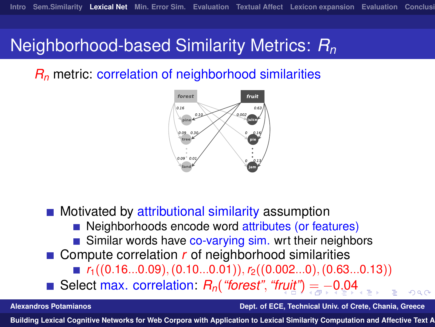#### Neighborhood-based Similarity Metrics: *R<sup>n</sup>*

*R<sup>n</sup>* metric: correlation of neighborhood similarities

<span id="page-17-0"></span>

 $\blacksquare$  Motivated by attributional similarity assumption Neighborhoods encode word attributes (or features) Similar words have co-varying sim. wrt their neighbors ■ Compute correlation *r* of neighborhood similarities  $r_1((0.16...0.09),(0.10...0.01)), r_2((0.002...0),(0.63...0.13))$ Select max. correlation: *Rn*(*"forest"*, *"f[rui](#page-16-0)t"*[\)](#page-18-0)[=](#page-17-0) [−](#page-18-0)[0](#page-16-0)[.](#page-17-0)[0](#page-19-0)[4](#page-20-0)

**Alexandros Potamianos Dept. of ECE, Technical Univ. of Crete, Chania, Greece**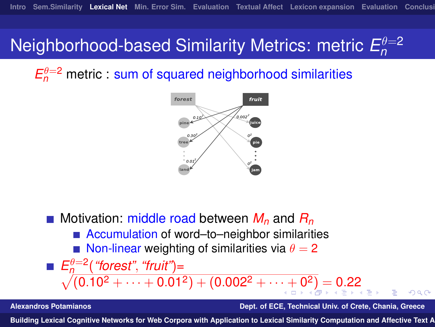#### **Neighborhood-based Similarity Metrics: metric**  $E_n^{\theta=2}$ *n*

 $E_n^{\theta=2}$  metric : sum of squared neighborhood similarities



■ Motivation: middle road between  $M_n$  and  $R_n$ ■ Accumulation of word–to–neighbor similarities Non-linear weighting of similarities via  $\theta = 2$  $E_n^{\theta=2}$ (*"forest"*, *"fruit"*)=  $L_n$ (*noissi*, *nui*)[=](#page-19-0)<br>  $\sqrt{(0.10^2 + \dots + 0.01^2) + (0.002^2 + \dots + 0^2)} = 0.22$  $\sqrt{(0.10^2 + \dots + 0.01^2) + (0.002^2 + \dots + 0^2)} = 0.22$  $\sqrt{(0.10^2 + \dots + 0.01^2) + (0.002^2 + \dots + 0^2)} = 0.22$  $\sqrt{(0.10^2 + \dots + 0.01^2) + (0.002^2 + \dots + 0^2)} = 0.22$  $\sqrt{(0.10^2 + \dots + 0.01^2) + (0.002^2 + \dots + 0^2)} = 0.22$  $\sqrt{(0.10^2 + \dots + 0.01^2) + (0.002^2 + \dots + 0^2)} = 0.22$  $\sqrt{(0.10^2 + \dots + 0.01^2) + (0.002^2 + \dots + 0^2)} = 0.22$ 

**Alexandros Potamianos Dept. of ECE, Technical Univ. of Crete, Chania, Greece**

<span id="page-18-0"></span>つくへ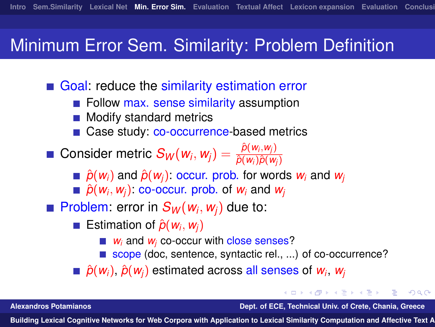### Minimum Error Sem. Similarity: Problem Definition

Goal: reduce the similarity estimation error

- **Follow max. sense similarity assumption**
- Modify standard metrics
- Case study: co-occurrence-based metrics
- $\textsf{Consider metric } S_\mathcal{W}(\mathit{w}_i, \mathit{w}_j) = \frac{\hat{\rho}(\mathit{w}_i, \mathit{w}_j)}{\hat{\rho}(\mathit{w}_i) \hat{\rho}(\mathit{w}_j)}$  $\hat{p}(w_i)\hat{p}(w_j)$ 
	- $\hat{p}(w_i)$  and  $\hat{p}(w_i)$ : occur. prob. for words  $w_i$  and  $w_i$
	- $\hat{p}(w_i, w_j)$ : co-occur. prob. of  $w_i$  and  $w_j$

Problem: error in  $S_W(w_i, w_j)$  due to:

- Estimation of  $\hat{p}(w_i, w_j)$ 
	- *w<sub>i</sub>* and *w<sub>i</sub>* co-occur with close senses?
	- scope (doc, sentence, syntactic rel., ...) of co-occurrence?

 $\hat{p}(w_i)$ ,  $\hat{p}(w_j)$  estimated across all senses of  $w_i$ ,  $w_j$ 

**Alexandros Potamianos Dept. of ECE, Technical Univ. of Crete, Chania, Greece**

<span id="page-19-0"></span> $\Omega$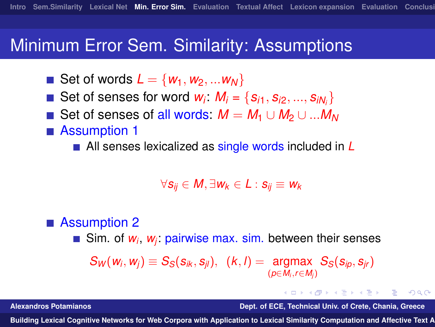#### Minimum Error Sem. Similarity: Assumptions

- Set of words  $L = \{w_1, w_2, ... w_N\}$
- Set of senses for word  $w_i$ :  $M_i = \{s_{i1}, s_{i2}, ..., s_{iN_i}\}\$
- Set of senses of all words:  $M = M_1 \cup M_2 \cup ... M_N$
- Assumption 1

■ All senses lexicalized as single words included in **L** 

$$
\forall s_{ij} \in M, \exists w_k \in L : s_{ij} \equiv w_k
$$

#### ■ Assumption 2

Sim. of *w<sub>i</sub>*, *w<sub>j</sub>*: pairwise max. sim. between their senses

$$
S_W(w_i, w_j) \equiv S_S(s_{ik}, s_{jl}), \quad (k, l) = \underset{(p \in M_i, r \in M_j)}{\text{argmax}} S_S(s_{ip}, s_{jr})
$$

イロト イ押 トイヨ トイヨ トー **Alexandros Potamianos Dept. of ECE, Technical Univ. of Crete, Chania, Greece**

<span id="page-20-0"></span> $\Omega$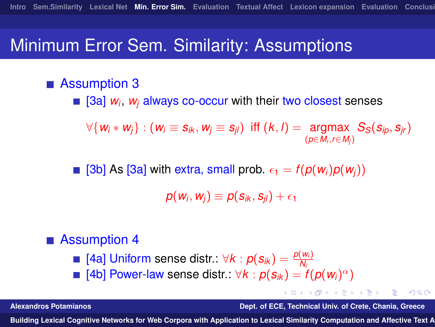### Minimum Error Sem. Similarity: Assumptions

#### ■ Assumption 3

[3a] *w<sup>i</sup>* , *w<sup>j</sup>* always co-occur with their two closest senses

 $\forall \{w_i * w_j\} : (w_i \equiv s_{ik}, w_j \equiv s_{jl}) \text{ iff } (k, l) = \text{argmax}_{(s \in M, s \in M)} S_S(s_{ip}, s_{jr})$ (*p*∈*Mi*,*r*∈*M<sup>j</sup>* )

 $\blacksquare$  [3b] As [3a] with extra, small prob.  $\epsilon_1 = f(p(w_i)p(w_i))$ 

 $p(w_i, w_j) \equiv p(s_{ik}, s_{jl}) + \epsilon_1$ 

#### ■ Assumption 4

- $[4a]$  Uniform sense distr.:  $\forall k : p(s_{ik}) = \frac{p(w_i)}{N_i}$
- [4b] Power-law sense distr.:  $\forall k : p(s_{ik}) = f(p(w_i)^{\alpha})$

**Alexandros Potamianos Dept. of ECE, Technical Univ. of Crete, Chania, Greece**

 $\Omega$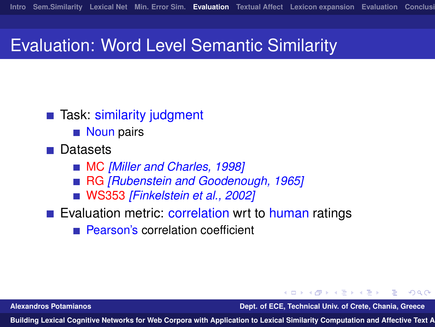### Evaluation: Word Level Semantic Similarity

- Task: similarity judgment
	- Noun pairs
- **Datasets** 
	- MC *[Miller and Charles, 1998]*
	- RG *[Rubenstein and Goodenough, 1965]*  $\mathcal{L}_{\mathcal{A}}$
	- WS353 *[Finkelstein et al., 2002]*
- Evaluation metric: correlation wrt to human ratings
	- Pearson's correlation coefficient

**Alexandros Potamianos Dept. of ECE, Technical Univ. of Crete, Chania, Greece**

 $\Omega$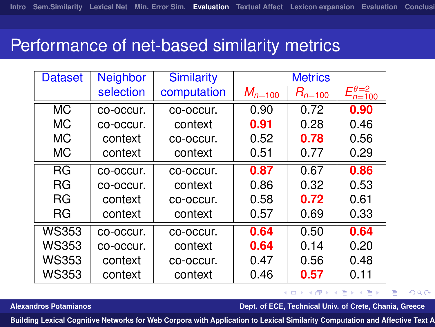#### Performance of net-based similarity metrics

| <b>Dataset</b> | <b>Neighbor</b> | <b>Similarity</b> | <b>Metrics</b> |             |                                              |
|----------------|-----------------|-------------------|----------------|-------------|----------------------------------------------|
|                | selection       | computation       | $M_{n=100}$    | $R_{n=100}$ | $\mathbf{\Xi}\theta\mathbf{=}2$<br>$n = 100$ |
| <b>MC</b>      | co-occur.       | co-occur.         | 0.90           | 0.72        | 0.90                                         |
| МC             | co-occur.       | context           | 0.91           | 0.28        | 0.46                                         |
| МC             | context         | co-occur.         | 0.52           | 0.78        | 0.56                                         |
| МC             | context         | context           | 0.51           | 0.77        | 0.29                                         |
| <b>RG</b>      | co-occur.       | co-occur.         | 0.87           | 0.67        | 0.86                                         |
| <b>RG</b>      | co-occur.       | context           | 0.86           | 0.32        | 0.53                                         |
| <b>RG</b>      | context         | co-occur.         | 0.58           | 0.72        | 0.61                                         |
| <b>RG</b>      | context         | context           | 0.57           | 0.69        | 0.33                                         |
| WS353          | co-occur.       | co-occur.         | 0.64           | 0.50        | 0.64                                         |
| <b>WS353</b>   | co-occur.       | context           | 0.64           | 0.14        | 0.20                                         |
| WS353          | context         | co-occur.         | 0.47           | 0.56        | 0.48                                         |
| <b>WS353</b>   | context         | context           | 0.46           | 0.57        | 0.11                                         |

#### <span id="page-23-0"></span>イロメ イ何 メメ ミメイヨメ  $\eta$ a ₽

**Alexandros Potamianos Dept. of ECE, Technical Univ. of Crete, Chania, Greece**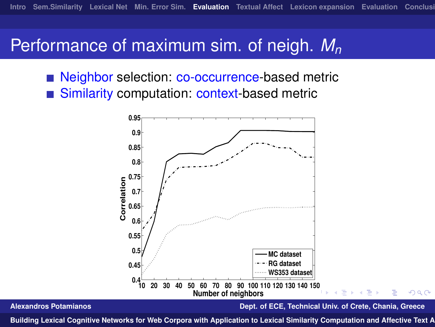### Performance of maximum sim. of neigh. *M<sup>n</sup>*

<span id="page-24-0"></span>Neighbor selection: co-occurrence-based metric Similarity computation: context-based metric

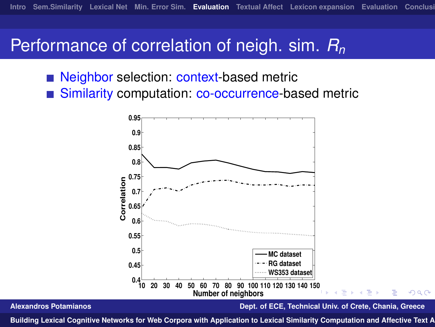### Performance of correlation of neigh. sim. *R<sup>n</sup>*

- Neighbor selection: context-based metric
- <span id="page-25-0"></span>■ Similarity computation: co-occurrence-based metric

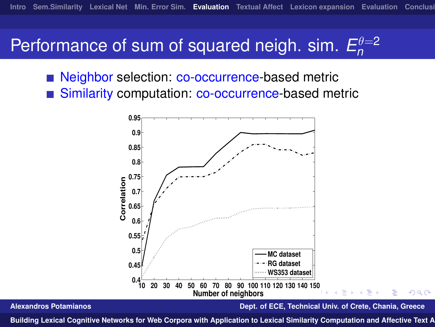#### Performance of sum of squared neigh. sim.  $E_n^{\theta=2}$ *n*

<span id="page-26-0"></span>Neighbor selection: co-occurrence-based metric ■ Similarity computation: co-occurrence-based metric

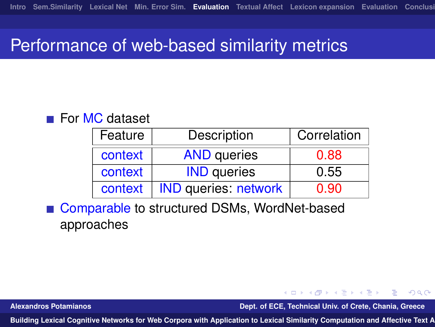#### Performance of web-based similarity metrics

#### ■ For MC dataset

| Feature | Description                 | Correlation |
|---------|-----------------------------|-------------|
| context | <b>AND</b> queries          | 0.88        |
| context | <b>IND</b> queries          | 0.55        |
| context | <b>IND</b> queries: network | 0.90        |

Comparable to structured DSMs, WordNet-based approaches

**Alexandros Potamianos Dept. of ECE, Technical Univ. of Crete, Chania, Greece**

<span id="page-27-0"></span> $\Omega$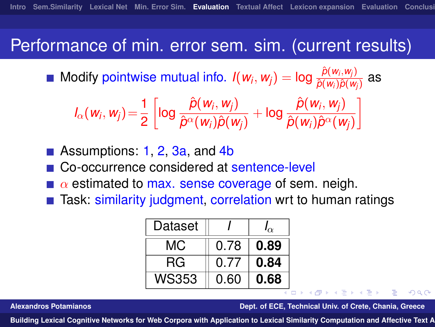## Performance of min. error sem. sim. (current results)

Modify pointwise mutual info.  $I(w_i, w_j) = \log \frac{\hat{p}(w_i, w_j)}{\hat{p}(w_i)\hat{p}(w_j)}$  $\frac{\rho(w_i, w_j)}{\hat{\rho}(w_i)\hat{\rho}(w_j)}$  as

$$
I_{\alpha}(w_i, w_j) = \frac{1}{2} \left[ \log \frac{\hat{p}(w_i, w_j)}{\hat{p}^{\alpha}(w_i)\hat{p}(w_j)} + \log \frac{\hat{p}(w_i, w_j)}{\hat{p}(w_i)\hat{p}^{\alpha}(w_j)} \right]
$$

■ Assumptions: 1, 2, 3a, and 4b

Co-occurrence considered at sentence-level

- $\alpha$  estimated to max. sense coverage of sem. neigh.
- Task: similarity judgment, correlation wrt to human ratings

| Dataset |      | $\alpha$ |
|---------|------|----------|
| МC      | 0.78 | 0.89     |
| RG.     | 0.77 | 0.84     |
| WS353   | 0.60 | 0.68     |

**Alexandros Potamianos Dept. of ECE, Technical Univ. of Crete, Chania, Greece**

同 ▶ イヨ ▶ イヨ ▶ │

 $\Omega$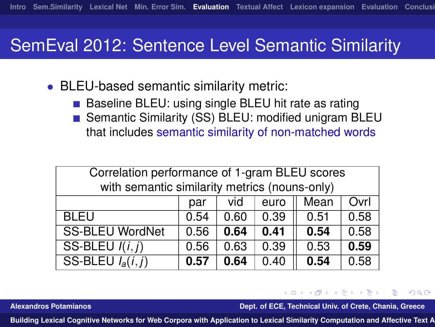## SemEval 2012: Sentence Level Semantic Similarity

- BLEU-based semantic similarity metric:
	- Baseline BLEU: using single BLEU hit rate as rating  $\sim$
	- Semantic Similarity (SS) BLEU: modified unigram BLEU that includes semantic similarity of non-matched words

| Correlation performance of 1-gram BLEU scores |      |      |      |      |      |
|-----------------------------------------------|------|------|------|------|------|
| with semantic similarity metrics (nouns-only) |      |      |      |      |      |
|                                               | par  | vid  | euro | Mean | Ovrl |
| <b>BLEU</b>                                   | 0.54 | 0.60 | 0.39 | 0.51 | 0.58 |
| <b>SS-BLEU WordNet</b>                        | 0.56 | 0.64 | 0.41 | 0.54 | 0.58 |
| SS-BLEU $I(i,j)$                              | 0.56 | 0.63 | 0.39 | 0.53 | 0.59 |
| SS-BLEU $I_a(i,j)$                            | 0.57 | 0.64 | 0.40 | 0.54 | 0.58 |

**Alexandros Potamianos Dept. of ECE, Technical Univ. of Crete, Chania, Greece**

メラメメラメ

<span id="page-29-0"></span> $\Omega$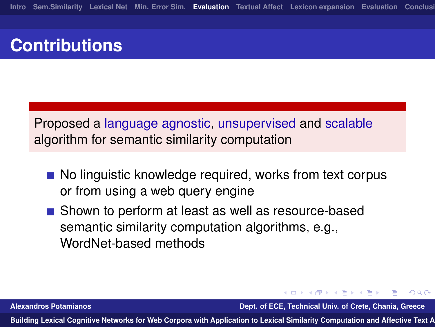# **Contributions**

Proposed a language agnostic, unsupervised and scalable algorithm for semantic similarity computation

- No linguistic knowledge required, works from text corpus or from using a web query engine
- Shown to perform at least as well as resource-based semantic similarity computation algorithms, e.g., WordNet-based methods

**Alexandros Potamianos Dept. of ECE, Technical Univ. of Crete, Chania, Greece**

 $\mathcal{A} \cap \mathbb{P} \rightarrow \mathcal{A} \supseteq \mathcal{A} \rightarrow \mathcal{A} \supseteq \mathcal{A}$ 

 $\Omega$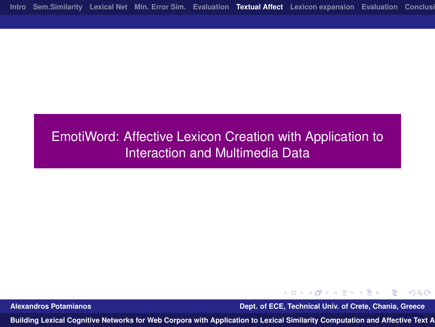#### EmotiWord: Affective Lexicon Creation with Application to Interaction and Multimedia Data

イロメ イ何 メメ ミメイヨメ  $\eta$ a Ξ.

**Alexandros Potamianos Dept. of ECE, Technical Univ. of Crete, Chania, Greece**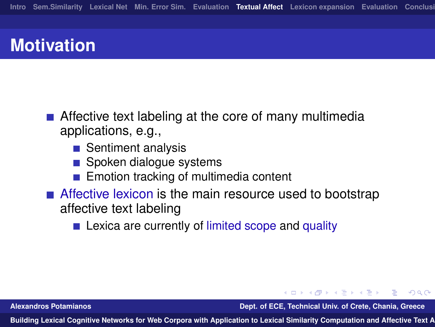# **Motivation**

- Affective text labeling at the core of many multimedia applications, e.g.,
	- Sentiment analysis
	- Spoken dialogue systems
	- Emotion tracking of multimedia content
- Affective lexicon is the main resource used to bootstrap affective text labeling
	- **EXICO 2.5 Lexica are currently of limited scope and quality**

**Alexandros Potamianos Dept. of ECE, Technical Univ. of Crete, Chania, Greece**

∢何 ▶ ∢ ヨ ▶ ∢ ヨ ▶

<span id="page-32-0"></span> $\Omega$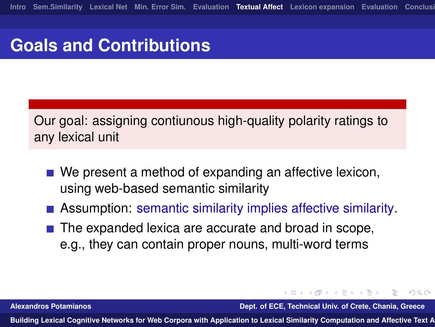## **Goals and Contributions**

Our goal: assigning contiunous high-quality polarity ratings to any lexical unit

- We present a method of expanding an affective lexicon, using web-based semantic similarity
- **Assumption: semantic similarity implies affective similarity.**
- $\blacksquare$  The expanded lexica are accurate and broad in scope, e.g., they can contain proper nouns, multi-word terms

**Alexandros Potamianos Dept. of ECE, Technical Univ. of Crete, Chania, Greece**

∢何 ▶ ∢ ヨ ▶ ∢ ヨ ▶

 $\Omega$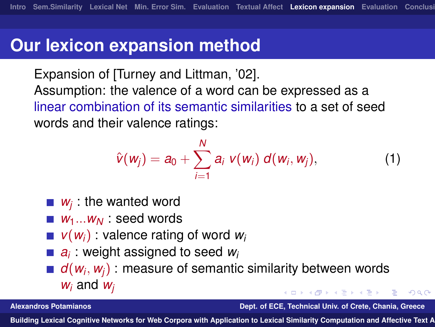#### **Our lexicon expansion method**

Expansion of [Turney and Littman, '02]. Assumption: the valence of a word can be expressed as a linear combination of its semantic similarities to a set of seed words and their valence ratings:

$$
\hat{v}(w_j) = a_0 + \sum_{i=1}^N a_i \ v(w_i) \ d(w_i, w_j), \qquad (1)
$$

- *wj* : the wanted word
- *W*<sub>1</sub>...*W*<sub>*N*</sub> : seed words
- $\blacksquare$   $\mathsf{v}(\mathsf{w}_i)$  : valence rating of word  $\mathsf{w}_i$
- *ai* : weight assigned to seed *w<sup>i</sup>*
- *d*(*w<sup>i</sup>* , *wj*) : measure of semantic similarity between words *w<sup>i</sup>* and *w<sup>j</sup>*

**Alexandros Potamianos Dept. of ECE, Technical Univ. of Crete, Chania, Greece**

<span id="page-34-0"></span> $\Omega$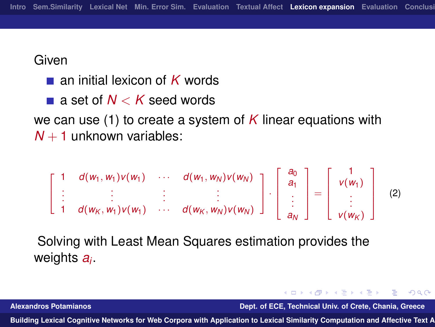**Given** 

- an initial lexicon of *K* words
- a set of *N* < *K* seed words

we can use [\(1\)](#page-34-0) to create a system of *K* linear equations with  $N + 1$  unknown variables:

$$
\left[\begin{array}{cccc}1 & d(w_1,w_1)v(w_1) & \cdots & d(w_1,w_N)v(w_N) \\ \vdots & \vdots & \vdots & \vdots \\ 1 & d(w_K,w_1)v(w_1) & \cdots & d(w_K,w_N)v(w_N)\end{array}\right]\cdot\left[\begin{array}{c}a_0 \\ a_1 \\ \vdots \\ a_N\end{array}\right]=\left[\begin{array}{c}1 \\ v(w_1) \\ \vdots \\ v(w_K)\end{array}\right] \quad (2)
$$

Solving with Least Mean Squares estimation provides the weights *a<sup>i</sup>* .

K ロ ▶ K 何 ▶ K ヨ ▶ K ヨ ▶ ... **Alexandros Potamianos Dept. of ECE, Technical Univ. of Crete, Chania, Greece**

 $\equiv$   $\Omega$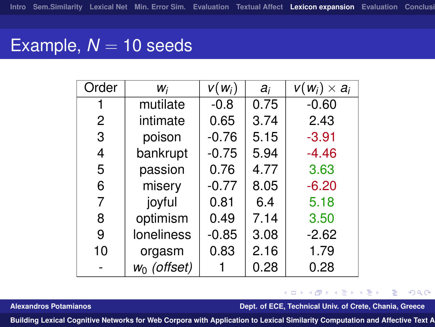## Example,  $N = 10$  seeds

| Order          | Wi                | $V(W_i)$ | $a_i$ | $V(W_i) \times a_i$ |
|----------------|-------------------|----------|-------|---------------------|
| 1              | mutilate          | $-0.8$   | 0.75  | $-0.60$             |
| $\overline{2}$ | intimate          | 0.65     | 3.74  | 2.43                |
| 3              | poison            | $-0.76$  | 5.15  | $-3.91$             |
| 4              | bankrupt          | $-0.75$  | 5.94  | $-4.46$             |
| 5              | passion           | 0.76     | 4.77  | 3.63                |
| 6              | misery            | $-0.77$  | 8.05  | $-6.20$             |
| 7              | joyful            | 0.81     | 6.4   | 5.18                |
| 8              | optimism          | 0.49     | 7.14  | 3.50                |
| 9              | <b>loneliness</b> | $-0.85$  | 3.08  | $-2.62$             |
| 10             | orgasm            | 0.83     | 2.16  | 1.79                |
|                | $w_0$ (offset)    |          | 0.28  | 0.28                |

#### <span id="page-36-0"></span> $\equiv$   $\Omega Q$ K ロ ▶ K 何 ▶ K ヨ ▶ K ヨ ▶ ...

**Alexandros Potamianos Dept. of ECE, Technical Univ. of Crete, Chania, Greece**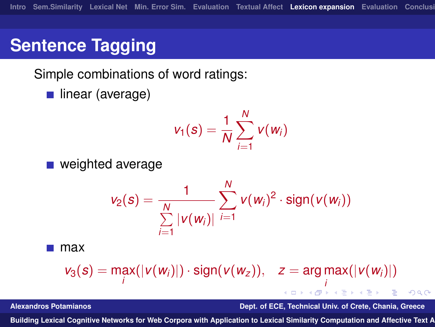# **Sentence Tagging**

Simple combinations of word ratings:

linear (average)

$$
v_1(s) = \frac{1}{N} \sum_{i=1}^N v(w_i)
$$

■ weighted average

$$
v_2(s) = \frac{1}{\sum_{i=1}^N |v(w_i)|} \sum_{i=1}^N v(w_i)^2 \cdot \text{sign}(v(w_i))
$$

max

$$
v_3(s) = \max_i(|v(w_i)|) \cdot \text{sign}(v(w_z)), \quad z = \argmax_i(|v(w_i)|)
$$

**Alexandros Potamianos Dept. of ECE, Technical Univ. of Crete, Chania, Greece**

∢何 ▶ ∢ ヨ ▶ ∢ ヨ ▶

<span id="page-37-0"></span> $QQ$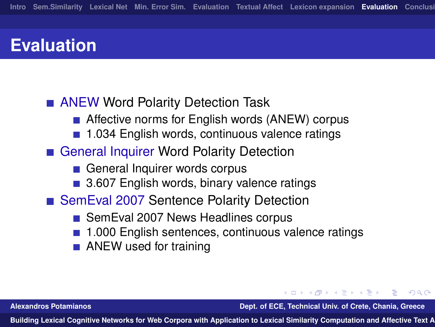## **Evaluation**

#### **ANEW Word Polarity Detection Task**

- Affective norms for English words (ANEW) corpus
- 1.034 English words, continuous valence ratings
- General Inquirer Word Polarity Detection
	- General Inquirer words corpus
	- 3.607 English words, binary valence ratings
- SemEval 2007 Sentence Polarity Detection
	- SemEval 2007 News Headlines corpus
	- 1.000 English sentences, continuous valence ratings
	- **ANEW** used for training

**Alexandros Potamianos Dept. of ECE, Technical Univ. of Crete, Chania, Greece**

<span id="page-38-0"></span> $\Omega$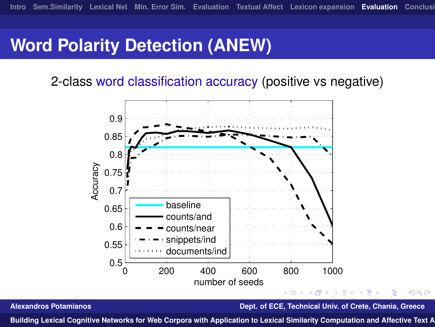# **Word Polarity Detection (ANEW)**

2-class word classification accuracy (positive vs negative)



**Alexandros Potamianos Dept. of ECE, Technical Univ. of Crete, Chania, Greece**

 $QQ$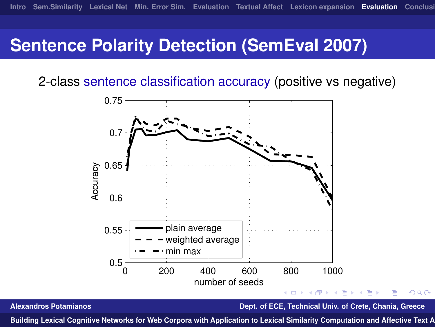## **Sentence Polarity Detection (SemEval 2007)**

2-class sentence classification accuracy (positive vs negative)



**Alexandros Potamianos Dept. of ECE, Technical Univ. of Crete, Chania, Greece**

 $\Omega$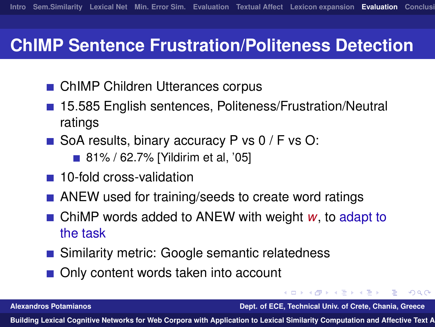## **ChIMP Sentence Frustration/Politeness Detection**

- ChIMP Children Utterances corpus
- 15.585 English sentences, Politeness/Frustration/Neutral ratings
- SoA results, binary accuracy P vs  $0$  / F vs O:
	- 81% / 62.7% [Yildirim et al, '05]
- 10-fold cross-validation
- ANEW used for training/seeds to create word ratings
- ChiMP words added to ANEW with weight *w*, to adapt to the task
- Similarity metric: Google semantic relatedness
- Only content words taken into account

**Alexandros Potamianos Dept. of ECE, Technical Univ. of Crete, Chania, Greece**

何 ▶ イヨ ▶ イヨ ▶

<span id="page-41-0"></span> $\Omega$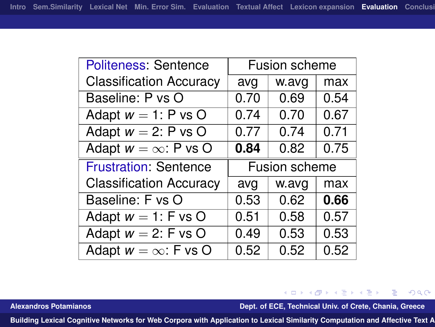| <b>Politeness: Sentence</b>    | Fusion scheme |       |      |  |
|--------------------------------|---------------|-------|------|--|
| <b>Classification Accuracy</b> | avg           | w.avg | max  |  |
| Baseline: P vs O               | 0.70          | 0.69  | 0.54 |  |
| Adapt $w = 1$ : P vs O         | 0.74          | 0.70  | 0.67 |  |
| Adapt $w = 2$ : P vs O         | 0.77          | 0.74  | 0.71 |  |
| Adapt $w = \infty$ : P vs O    | 0.84          | 0.82  | 0.75 |  |
|                                | Fusion scheme |       |      |  |
| <b>Frustration: Sentence</b>   |               |       |      |  |
| <b>Classification Accuracy</b> | avg           | w.avg | max  |  |
| Baseline: F vs O               | 0.53          | 0.62  | 0.66 |  |
| Adapt $w = 1$ : F vs O         | 0.51          | 0.58  | 0.57 |  |
| Adapt $w = 2$ : F vs O         | 0.49          | 0.53  | 0.53 |  |
| Adapt $w = \infty$ : F vs O    | 0.52          | 0.52  | 0.52 |  |

イロン イ団ン イミン イモン **Alexandros Potamianos Dept. of ECE, Technical Univ. of Crete, Chania, Greece**

 $\equiv$  990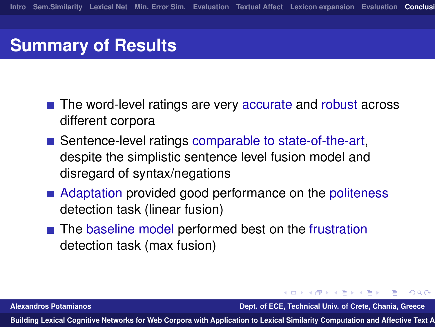## **Summary of Results**

- The word-level ratings are very accurate and robust across different corpora
- Sentence-level ratings comparable to state-of-the-art, despite the simplistic sentence level fusion model and disregard of syntax/negations
- Adaptation provided good performance on the politeness detection task (linear fusion)
- The baseline model performed best on the frustration detection task (max fusion)

**Alexandros Potamianos Dept. of ECE, Technical Univ. of Crete, Chania, Greece**

∢何 ▶ ∢ ヨ ▶ ∢ ヨ ▶

<span id="page-43-0"></span> $\Omega$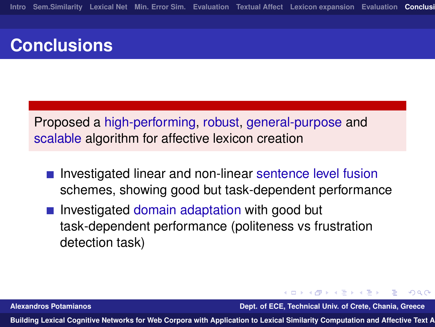# **Conclusions**

Proposed a high-performing, robust, general-purpose and scalable algorithm for affective lexicon creation

- **Investigated linear and non-linear sentence level fusion** schemes, showing good but task-dependent performance
- **Investigated domain adaptation with good but** task-dependent performance (politeness vs frustration detection task)

**Alexandros Potamianos Dept. of ECE, Technical Univ. of Crete, Chania, Greece**

∢何 ▶ ∢ ヨ ▶ ∢ ヨ ▶

 $\Omega$